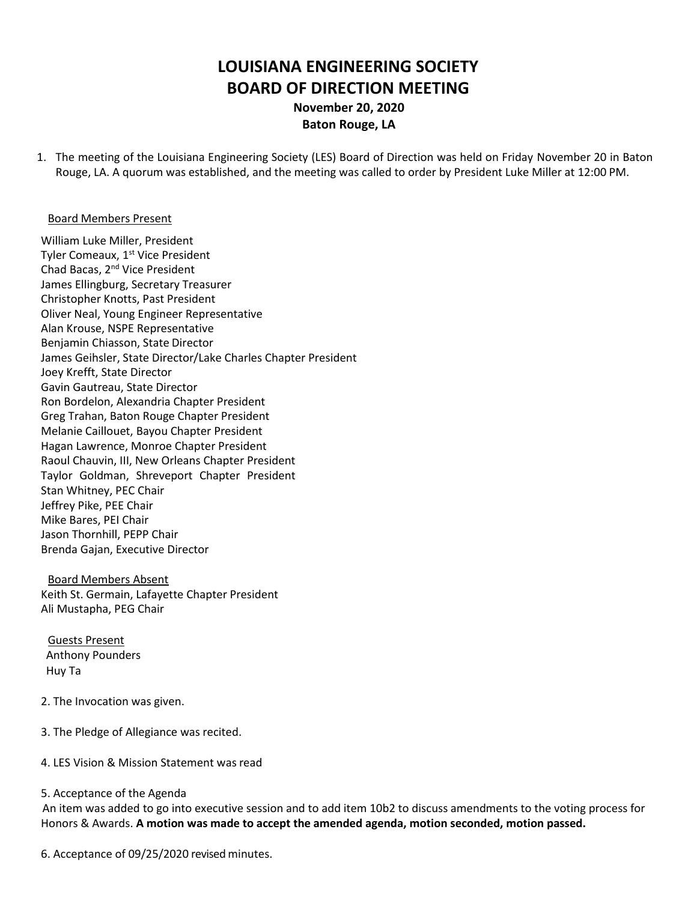# **LOUISIANA ENGINEERING SOCIETY BOARD OF DIRECTION MEETING November 20, 2020**

## **Baton Rouge, LA**

1. The meeting of the Louisiana Engineering Society (LES) Board of Direction was held on Friday November 20 in Baton Rouge, LA. A quorum was established, and the meeting was called to order by President Luke Miller at 12:00 PM.

#### Board Members Present

William Luke Miller, President Tyler Comeaux, 1<sup>st</sup> Vice President Chad Bacas, 2nd Vice President James Ellingburg, Secretary Treasurer Christopher Knotts, Past President Oliver Neal, Young Engineer Representative Alan Krouse, NSPE Representative Benjamin Chiasson, State Director James Geihsler, State Director/Lake Charles Chapter President Joey Krefft, State Director Gavin Gautreau, State Director Ron Bordelon, Alexandria Chapter President Greg Trahan, Baton Rouge Chapter President Melanie Caillouet, Bayou Chapter President Hagan Lawrence, Monroe Chapter President Raoul Chauvin, III, New Orleans Chapter President Taylor Goldman, Shreveport Chapter President Stan Whitney, PEC Chair Jeffrey Pike, PEE Chair Mike Bares, PEI Chair Jason Thornhill, PEPP Chair Brenda Gajan, Executive Director

Board Members Absent Keith St. Germain, Lafayette Chapter President Ali Mustapha, PEG Chair

Guests Present Anthony Pounders Huy Ta

- 2. The Invocation was given.
- 3. The Pledge of Allegiance was recited.
- 4. LES Vision & Mission Statement was read

#### 5. Acceptance of the Agenda

An item was added to go into executive session and to add item 10b2 to discuss amendments to the voting process for Honors & Awards. **A motion was made to accept the amended agenda, motion seconded, motion passed.**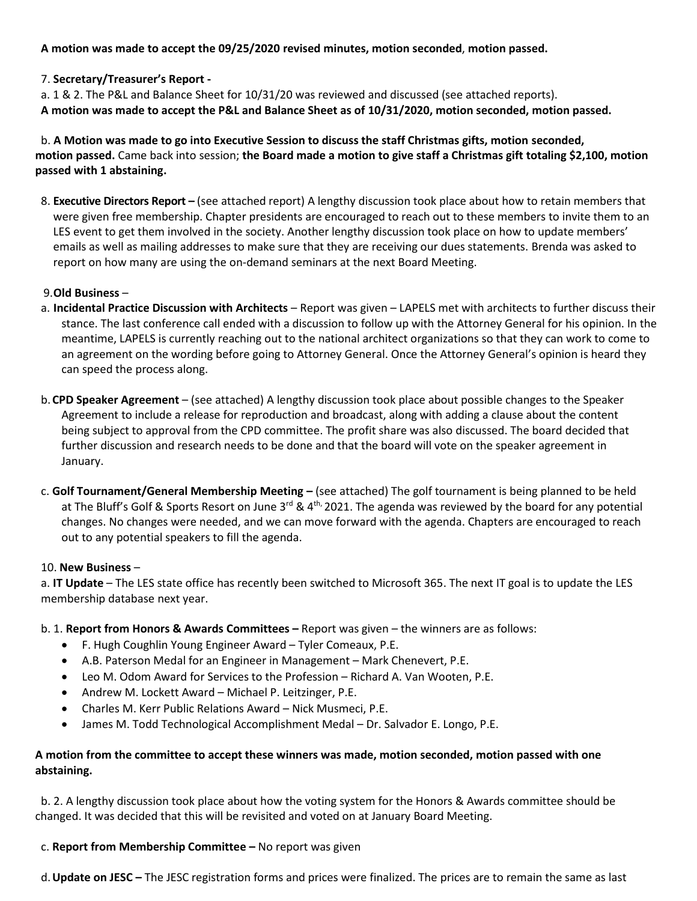**A motion was made to accept the 09/25/2020 revised minutes, motion seconded**, **motion passed.**

#### 7. **Secretary/Treasurer's Report -**

a. 1 & 2. The P&L and Balance Sheet for 10/31/20 was reviewed and discussed (see attached reports). **A motion was made to accept the P&L and Balance Sheet as of 10/31/2020, motion seconded, motion passed.**

b. **A Motion was made to go into Executive Session to discuss the staff Christmas gifts, motion seconded, motion passed.** Came back into session; **the Board made a motion to give staff a Christmas gift totaling \$2,100, motion passed with 1 abstaining.**

8. **Executive Directors Report –** (see attached report) A lengthy discussion took place about how to retain members that were given free membership. Chapter presidents are encouraged to reach out to these members to invite them to an LES event to get them involved in the society. Another lengthy discussion took place on how to update members' emails as well as mailing addresses to make sure that they are receiving our dues statements. Brenda was asked to report on how many are using the on-demand seminars at the next Board Meeting.

## 9.**Old Business** –

- a. **Incidental Practice Discussion with Architects**  Report was given LAPELS met with architects to further discuss their stance. The last conference call ended with a discussion to follow up with the Attorney General for his opinion. In the meantime, LAPELS is currently reaching out to the national architect organizations so that they can work to come to an agreement on the wording before going to Attorney General. Once the Attorney General's opinion is heard they can speed the process along.
- b.**CPD Speaker Agreement** (see attached) A lengthy discussion took place about possible changes to the Speaker Agreement to include a release for reproduction and broadcast, along with adding a clause about the content being subject to approval from the CPD committee. The profit share was also discussed. The board decided that further discussion and research needs to be done and that the board will vote on the speaker agreement in January.
- c. **Golf Tournament/General Membership Meeting –** (see attached) The golf tournament is being planned to be held at The Bluff's Golf & Sports Resort on June 3<sup>rd</sup> & 4<sup>th,</sup> 2021. The agenda was reviewed by the board for any potential changes. No changes were needed, and we can move forward with the agenda. Chapters are encouraged to reach out to any potential speakers to fill the agenda.

#### 10. **New Business** –

a. **IT Update** – The LES state office has recently been switched to Microsoft 365. The next IT goal is to update the LES membership database next year.

- b. 1. **Report from Honors & Awards Committees –** Report was given the winners are as follows:
	- F. Hugh Coughlin Young Engineer Award Tyler Comeaux, P.E.
	- A.B. Paterson Medal for an Engineer in Management Mark Chenevert, P.E.
	- Leo M. Odom Award for Services to the Profession Richard A. Van Wooten, P.E.
	- Andrew M. Lockett Award Michael P. Leitzinger, P.E.
	- Charles M. Kerr Public Relations Award Nick Musmeci, P.E.
	- James M. Todd Technological Accomplishment Medal Dr. Salvador E. Longo, P.E.

## **A motion from the committee to accept these winners was made, motion seconded, motion passed with one abstaining.**

 b. 2. A lengthy discussion took place about how the voting system for the Honors & Awards committee should be changed. It was decided that this will be revisited and voted on at January Board Meeting.

#### c. **Report from Membership Committee –** No report was given

d.**Update on JESC –** The JESC registration forms and prices were finalized. The prices are to remain the same as last